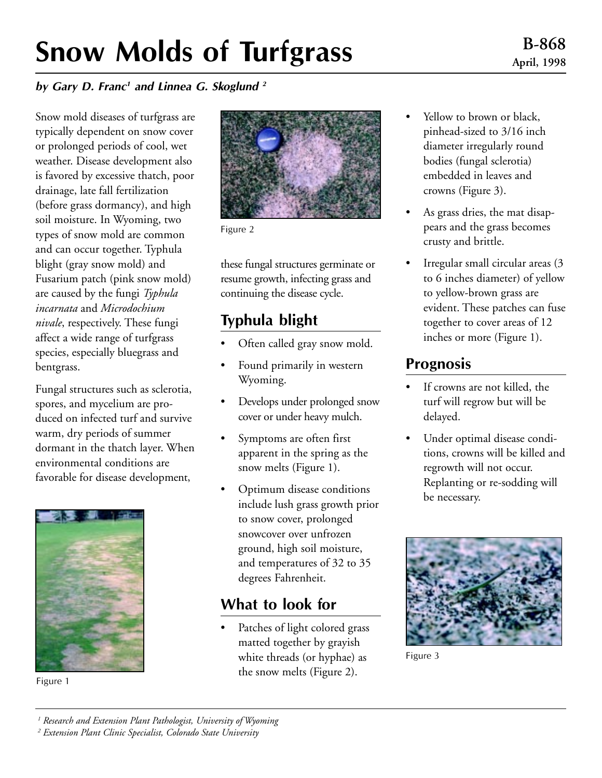# Snow Molds of Turfgrass

#### by Gary D. Franc<sup>1</sup> and Linnea G. Skoglund  $2$

Snow mold diseases of turfgrass are typically dependent on snow cover or prolonged periods of cool, wet weather. Disease development also is favored by excessive thatch, poor drainage, late fall fertilization (before grass dormancy), and high soil moisture. In Wyoming, two types of snow mold are common and can occur together. Typhula blight (gray snow mold) and Fusarium patch (pink snow mold) are caused by the fungi *Typhula incarnata* and *Microdochium nivale*, respectively. These fungi affect a wide range of turfgrass species, especially bluegrass and bentgrass.

Fungal structures such as sclerotia, spores, and mycelium are produced on infected turf and survive warm, dry periods of summer dormant in the thatch layer. When environmental conditions are favorable for disease development,



Figure 1



Figure 2

these fungal structures germinate or resume growth, infecting grass and continuing the disease cycle.

# Typhula blight

- Often called gray snow mold.
- Found primarily in western Wyoming.
- Develops under prolonged snow cover or under heavy mulch.
- Symptoms are often first apparent in the spring as the snow melts (Figure 1).
- Optimum disease conditions include lush grass growth prior to snow cover, prolonged snowcover over unfrozen ground, high soil moisture, and temperatures of 32 to 35 degrees Fahrenheit.

## What to look for

Patches of light colored grass matted together by grayish white threads (or hyphae) as the snow melts (Figure 2).

- Yellow to brown or black, pinhead-sized to 3/16 inch diameter irregularly round bodies (fungal sclerotia) embedded in leaves and crowns (Figure 3).
- As grass dries, the mat disappears and the grass becomes crusty and brittle.
- Irregular small circular areas (3 to 6 inches diameter) of yellow to yellow-brown grass are evident. These patches can fuse together to cover areas of 12 inches or more (Figure 1).

## Prognosis

- If crowns are not killed, the turf will regrow but will be delayed.
- Under optimal disease conditions, crowns will be killed and regrowth will not occur. Replanting or re-sodding will be necessary.



Figure 3